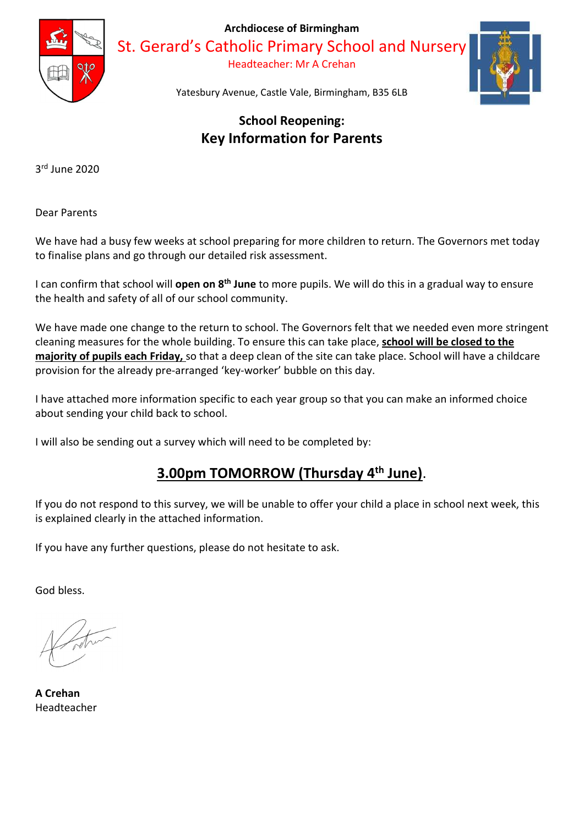

Archdiocese of Birmingham

St. Gerard's Catholic Primary School and Nursery

Headteacher: Mr A Crehan



Yatesbury Avenue, Castle Vale, Birmingham, B35 6LB

# School Reopening: Key Information for Parents

3 rd June 2020

Dear Parents

We have had a busy few weeks at school preparing for more children to return. The Governors met today to finalise plans and go through our detailed risk assessment.

I can confirm that school will **open on 8<sup>th</sup> June** to more pupils. We will do this in a gradual way to ensure the health and safety of all of our school community.

We have made one change to the return to school. The Governors felt that we needed even more stringent cleaning measures for the whole building. To ensure this can take place, school will be closed to the majority of pupils each Friday, so that a deep clean of the site can take place. School will have a childcare provision for the already pre-arranged 'key-worker' bubble on this day.

I have attached more information specific to each year group so that you can make an informed choice about sending your child back to school.

I will also be sending out a survey which will need to be completed by:

# 3.00pm TOMORROW (Thursday 4th June).

If you do not respond to this survey, we will be unable to offer your child a place in school next week, this is explained clearly in the attached information.

If you have any further questions, please do not hesitate to ask.

God bless.

A Crehan Headteacher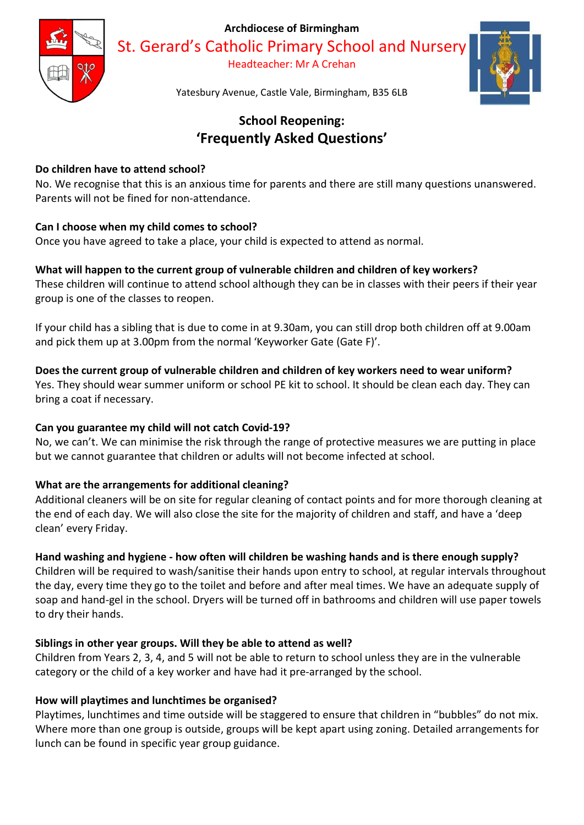Archdiocese of Birmingham



St. Gerard's Catholic Primary School and Nursery Headteacher: Mr A Crehan



Yatesbury Avenue, Castle Vale, Birmingham, B35 6LB

# School Reopening: 'Frequently Asked Questions'

## Do children have to attend school?

No. We recognise that this is an anxious time for parents and there are still many questions unanswered. Parents will not be fined for non-attendance.

## Can I choose when my child comes to school?

Once you have agreed to take a place, your child is expected to attend as normal.

## What will happen to the current group of vulnerable children and children of key workers?

These children will continue to attend school although they can be in classes with their peers if their year group is one of the classes to reopen.

If your child has a sibling that is due to come in at 9.30am, you can still drop both children off at 9.00am and pick them up at 3.00pm from the normal 'Keyworker Gate (Gate F)'.

## Does the current group of vulnerable children and children of key workers need to wear uniform?

Yes. They should wear summer uniform or school PE kit to school. It should be clean each day. They can bring a coat if necessary.

## Can you guarantee my child will not catch Covid-19?

No, we can't. We can minimise the risk through the range of protective measures we are putting in place but we cannot guarantee that children or adults will not become infected at school.

# What are the arrangements for additional cleaning?

Additional cleaners will be on site for regular cleaning of contact points and for more thorough cleaning at the end of each day. We will also close the site for the majority of children and staff, and have a 'deep clean' every Friday.

# Hand washing and hygiene - how often will children be washing hands and is there enough supply?

Children will be required to wash/sanitise their hands upon entry to school, at regular intervals throughout the day, every time they go to the toilet and before and after meal times. We have an adequate supply of soap and hand-gel in the school. Dryers will be turned off in bathrooms and children will use paper towels to dry their hands.

## Siblings in other year groups. Will they be able to attend as well?

Children from Years 2, 3, 4, and 5 will not be able to return to school unless they are in the vulnerable category or the child of a key worker and have had it pre-arranged by the school.

## How will playtimes and lunchtimes be organised?

Playtimes, lunchtimes and time outside will be staggered to ensure that children in "bubbles" do not mix. Where more than one group is outside, groups will be kept apart using zoning. Detailed arrangements for lunch can be found in specific year group guidance.